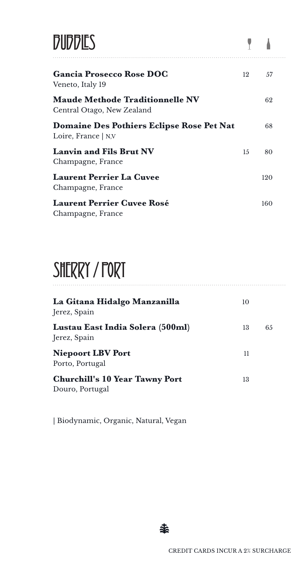| <b>DUDDIES</b>                                                       |    |     |
|----------------------------------------------------------------------|----|-----|
| <b>Gancia Prosecco Rose DOC</b><br>Veneto, Italy 19                  | 12 | 57  |
| <b>Maude Methode Traditionnelle NV</b><br>Central Otago, New Zealand |    | 62  |
| Domaine Des Pothiers Eclipse Rose Pet Nat<br>Loire, France $ $ N,V   |    | 68  |
| <b>Lanvin and Fils Brut NV</b><br>Champagne, France                  | 15 | 80  |
| <b>Laurent Perrier La Cuvee</b><br>Champagne, France                 |    | 120 |
| <b>Laurent Perrier Cuvee Rosé</b><br>Champagne, France               |    | 160 |

### SHERRY / FORT

| La Gitana Hidalgo Manzanilla<br>Jerez, Spain             | 10 |    |
|----------------------------------------------------------|----|----|
| Lustau East India Solera (500ml)<br>Jerez, Spain         | 13 | 65 |
| <b>Niepoort LBV Port</b><br>Porto, Portugal              | 11 |    |
| <b>Churchill's 10 Year Tawny Port</b><br>Douro, Portugal | 13 |    |

| Biodynamic, Organic, Natural, Vegan

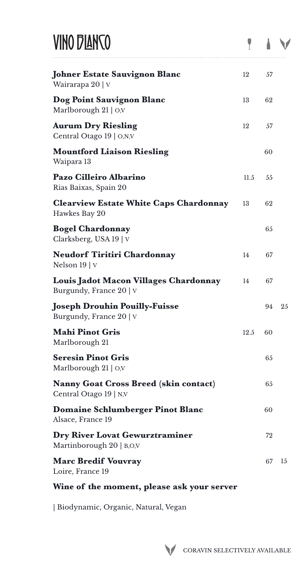#### VINO DIANCO

| VINO D'IANTO                                                        |      |    |    |
|---------------------------------------------------------------------|------|----|----|
| Johner Estate Sauvignon Blanc<br>Wairarapa 20   v                   | 12   | 57 |    |
| Dog Point Sauvignon Blanc<br>Marlborough 21   O,V                   | 13   | 62 |    |
| Aurum Dry Riesling<br>Central Otago 19   O,N,V                      | 12   | 57 |    |
| <b>Mountford Liaison Riesling</b><br>Waipara 13                     |      | 60 |    |
| Pazo Cilleiro Albarino<br>Rias Baixas, Spain 20                     | 11.5 | 55 |    |
| <b>Clearview Estate White Caps Chardonnay</b><br>Hawkes Bay 20      | 13   | 62 |    |
| <b>Bogel Chardonnay</b><br>Clarksberg, USA 19   V                   |      | 65 |    |
| Neudorf Tiritiri Chardonnay<br>Nelson 19   V                        | 14   | 67 |    |
| Louis Jadot Macon Villages Chardonnay<br>Burgundy, France 20   V    | 14   | 67 |    |
| Joseph Drouhin Pouilly-Fuisse<br>Burgundy, France 20   V            |      | 94 | 25 |
| Mahi Pinot Gris<br>Marlborough 21                                   | 12.5 | 60 |    |
| <b>Seresin Pinot Gris</b><br>Marlborough 21   O,V                   |      | 65 |    |
| Nanny Goat Cross Breed (skin contact)<br>Central Otago 19   N,V     |      | 65 |    |
| Domaine Schlumberger Pinot Blanc<br>Alsace, France 19               |      | 60 |    |
| <b>Dry River Lovat Gewurztraminer</b><br>Martinborough $20$   B,O,V |      | 72 |    |
| Marc Bredif Vouvray<br>Loire, France 19                             |      | 67 | 15 |

#### **Wine of the moment, please ask your server**

| Biodynamic, Organic, Natural, Vegan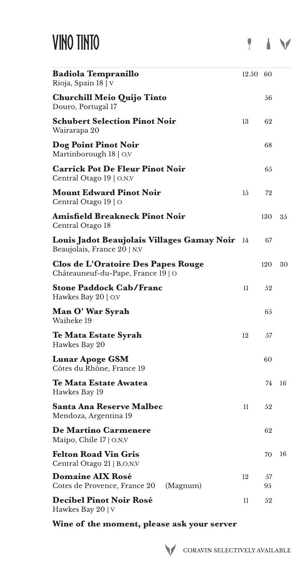### VINO TINTO

| Badiola Tempranillo<br>Rioja, Spain 18   V                                | 12.50 60 |          |    |
|---------------------------------------------------------------------------|----------|----------|----|
| <b>Churchill Meio Quijo Tinto</b><br>Douro, Portugal 17                   |          | 56       |    |
| <b>Schubert Selection Pinot Noir</b><br>Wairarapa 20                      | 13       | 62       |    |
| Dog Point Pinot Noir<br>Martinborough $18 \mid O,V$                       |          | 68       |    |
| <b>Carrick Pot De Fleur Pinot Noir</b><br>Central Otago 19   O,N,V        |          | 65       |    |
| <b>Mount Edward Pinot Noir</b><br>Central Otago 19   O                    | 15       | 72       |    |
| Amisfield Breakneck Pinot Noir<br>Central Otago 18                        |          | 130      | 35 |
| Louis Jadot Beaujolais Villages Gamay Noir<br>Beaujolais, France 20   N,V | - 14     | 67       |    |
| Clos de L'Oratoire Des Papes Rouge<br>Châteauneuf-du-Pape, France 19   O  |          | 120      | 30 |
| <b>Stone Paddock Cab/Franc</b><br>Hawkes Bay 20 $\mid$ O,V                | 11       | 52       |    |
| Man O' War Syrah<br>Waiheke 19                                            |          | 65       |    |
| <b>Te Mata Estate Syrah</b><br>Hawkes Bay 20                              | 12       | 57       |    |
| Lunar Apoge GSM<br>Côtes du Rhône, France 19                              |          | 60       |    |
| <b>Te Mata Estate Awatea</b><br>Hawkes Bay 19                             |          | 74       | 16 |
| <b>Santa Ana Reserve Malbec</b><br>Mendoza, Argentina 19                  | 11       | 52       |    |
| <b>De Martino Carmenere</b><br>Maipo, Chile $17 \mid O,N,V$               |          | 62       |    |
| <b>Felton Road Vin Gris</b><br>Central Otago 21   B,O,N,V                 |          | 70       | 16 |
| <b>Domaine AIX Rosé</b><br>Cotes de Provence, France 20<br>(Magnum)       | 12       | 57<br>95 |    |
| <b>Decibel Pinot Noir Rosé</b><br>Hawkes Bay 20   V                       | 11       | 52       |    |

**Wine of the moment, please ask your server**

IV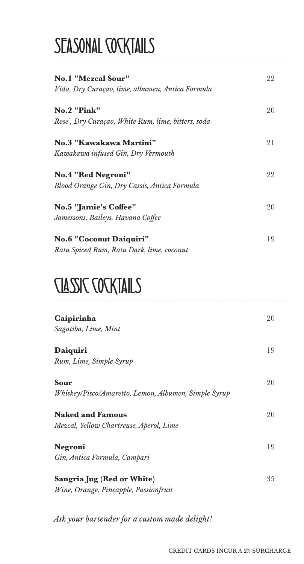### SEASONAL **COCKTAILS**

| <b>No.1 "Mezcal Sour"</b><br>Vida, Dry Curaçao, lime, albumen, Antica Formula | 22 |
|-------------------------------------------------------------------------------|----|
|                                                                               |    |
| <b>No.2 "Pink"</b><br>Rose´, Dry Curaçao, White Rum, lime, bitters, soda      | 20 |
| No.3 "Kawakawa Martini"                                                       | 21 |
| Kawakawa infused Gin, Dry Vermouth                                            |    |
| <b>No.4 "Red Negroni"</b>                                                     | 22 |
| Blood Orange Gin, Dry Cassis, Antica Formula                                  |    |
| <b>No.5 "Jamie's Coffee"</b>                                                  | 20 |
| Jamessons, Baileys, Havana Coffee                                             |    |
| <b>No.6 "Coconut Daiquiri"</b>                                                | 19 |
| Ratu Spiced Rum, Ratu Dark, lime, coconut                                     |    |

#### CLASSIC COCKTAILS

| Caipirinha<br>Sagatiba, Lime, Mint                                  | 20 |
|---------------------------------------------------------------------|----|
| Daiquiri<br>Rum, Lime, Simple Syrup                                 | 19 |
| Sour<br>Whiskey/Pisco/Amaretto, Lemon, Albumen, Simple Syrup        | 20 |
| <b>Naked and Famous</b><br>Mezcal, Yellow Chartreuse, Aperol, Lime  | 20 |
| Negroni<br>Gin, Antica Formula, Campari                             | 19 |
| Sangria Jug (Red or White)<br>Wine, Orange, Pineapple, Passionfruit | 35 |

*Ask your bartender for a custom made delight!*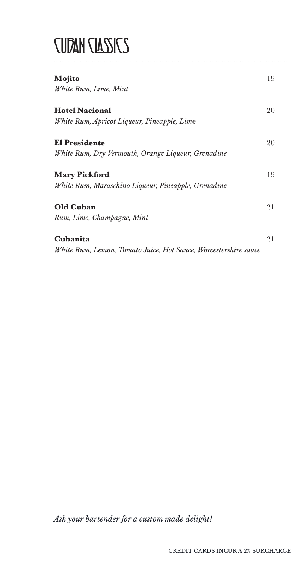#### **CUDAN CLASSICS**

| Mojito                                                          | 19 |
|-----------------------------------------------------------------|----|
| White Rum, Lime, Mint                                           |    |
| <b>Hotel Nacional</b>                                           | 20 |
| White Rum, Apricot Liqueur, Pineapple, Lime                     |    |
| <b>El Presidente</b>                                            | 20 |
| White Rum, Dry Vermouth, Orange Liqueur, Grenadine              |    |
| <b>Mary Pickford</b>                                            | 19 |
| White Rum, Maraschino Liqueur, Pineapple, Grenadine             |    |
| <b>Old Cuban</b>                                                | 21 |
| Rum, Lime, Champagne, Mint                                      |    |
| Cubanita                                                        | 21 |
| White Rum, Lemon, Tomato Juice, Hot Sauce, Worcestershire sauce |    |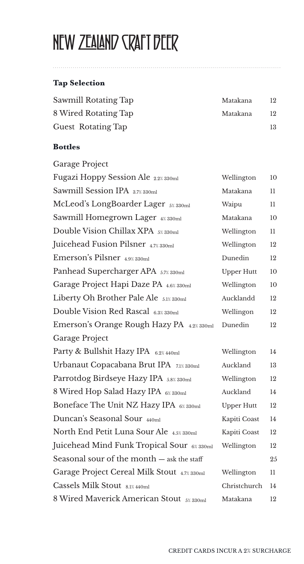# NEW ZEALAND CRAFT BEER

#### **Tap Selection**

| Sawmill Rotating Tap      | Matakana | 12 |
|---------------------------|----------|----|
| 8 Wired Rotating Tap      | Matakana | 12 |
| <b>Guest Rotating Tap</b> |          | 13 |

#### **Bottles**

| Garage Project                              |                   |    |
|---------------------------------------------|-------------------|----|
| Fugazi Hoppy Session Ale 2.2% 330ml         | Wellington        | 10 |
| Sawmill Session IPA 3.7% 330ml              | Matakana          | 11 |
| McLeod's LongBoarder Lager 5% 330ml         | Waipu             | 11 |
| Sawmill Homegrown Lager 4% 330ml            | Matakana          | 10 |
| Double Vision Chillax XPA 5% 330ml          | Wellington        | 11 |
| Juicehead Fusion Pilsner 4.7% 330ml         | Wellington        | 12 |
| Emerson's Pilsner 4.9% 330ml                | Dunedin           | 12 |
| Panhead Supercharger APA 5.7% 330ml         | <b>Upper Hutt</b> | 10 |
| Garage Project Hapi Daze PA 4.6% 330ml      | Wellington        | 10 |
| Liberty Oh Brother Pale Ale 5.1% 330ml      | Aucklandd         | 12 |
| Double Vision Red Rascal 6.3% 330ml         | Wellingon         | 12 |
| Emerson's Orange Rough Hazy PA 4.2% 330ml   | Dunedin           | 12 |
| Garage Project                              |                   |    |
| Party & Bullshit Hazy IPA 6.2% 440ml        | Wellington        | 14 |
| Urbanaut Copacabana Brut IPA 7.1% 330ml     | Auckland          | 13 |
| Parrotdog Birdseye Hazy IPA 5.8% 330ml      | Wellington        | 12 |
| 8 Wired Hop Salad Hazy IPA 6% 330ml         | Auckland          | 14 |
| Boneface The Unit NZ Hazy IPA 6% 330ml      | <b>Upper Hutt</b> | 12 |
| Duncan's Seasonal Sour 440ml                | Kapiti Coast      | 14 |
| North End Petit Luna Sour Ale 4.5% 330ml    | Kapiti Coast      | 12 |
| Juicehead Mind Funk Tropical Sour 6% 330ml  | Wellington        | 12 |
| Seasonal sour of the month - ask the staff  |                   | 25 |
| Garage Project Cereal Milk Stout 4.7% 330ml | Wellington        | 11 |
| Cassels Milk Stout 8.1% 440ml               | Christchurch      | 14 |
| 8 Wired Maverick American Stout 5% 330ml    | Matakana          | 12 |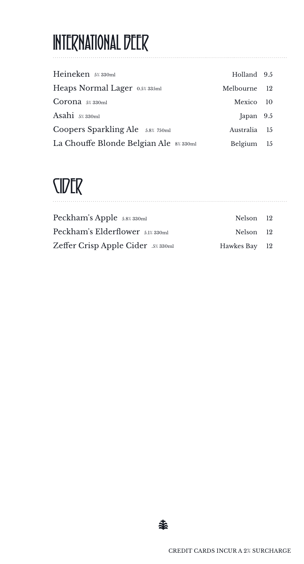# INTERNATIONAL BEER

| Heineken 5%330ml                       | Holland 9.5  |  |
|----------------------------------------|--------------|--|
| Heaps Normal Lager 0.5% 335ml          | Melbourne 12 |  |
| $Corona$ $5\%$ 330ml                   | Mexico 10    |  |
| Asahi $5\%$ 330ml                      | Japan $9.5$  |  |
| Coopers Sparkling Ale 5.8% 750ml       | Australia 15 |  |
| La Chouffe Blonde Belgian Ale 8% 330ml | Belgium 15   |  |

### CIDER

| Peckham's Apple 5.8% 330ml         | Nelson 12     |  |
|------------------------------------|---------------|--|
| Peckham's Elderflower 5.1% 330ml   | Nelson 12     |  |
| Zeffer Crisp Apple Cider .5% 330ml | Hawkes Bay 12 |  |

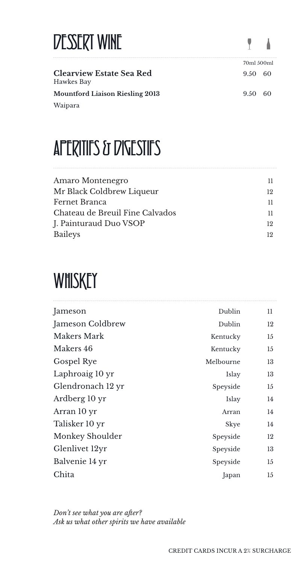| DESSERT WINE                                  | 7. A       |     |
|-----------------------------------------------|------------|-----|
|                                               | 70ml 500ml |     |
| <b>Clearview Estate Sea Red</b><br>Hawkes Bay | 9.50       | -60 |
| <b>Mountford Liaison Riesling 2013</b>        | 9.50~60    |     |
| Waipara                                       |            |     |

# APERITIFS & DIGESTIFS

| Amaro Montenegro                | 11. |
|---------------------------------|-----|
| Mr Black Coldbrew Liqueur       | 19. |
| Fernet Branca                   | 11. |
| Chateau de Breuil Fine Calvados | 11. |
| J. Painturaud Duo VSOP          | 19. |
| <b>Baileys</b>                  | 19. |
|                                 |     |

# **WHISKEY**

| Jameson           | Dublin    | 11 |
|-------------------|-----------|----|
| Jameson Coldbrew  | Dublin    | 12 |
| Makers Mark       | Kentucky  | 15 |
| Makers 46         | Kentucky  | 15 |
| Gospel Rye        | Melbourne | 13 |
| Laphroaig 10 yr   | Islay     | 13 |
| Glendronach 12 yr | Speyside  | 15 |
| Ardberg 10 yr     | Islay     | 14 |
| Arran 10 yr       | Arran     | 14 |
| Talisker 10 yr    | Skye      | 14 |
| Monkey Shoulder   | Speyside  | 12 |
| Glenlivet 12yr    | Speyside  | 13 |
| Balvenie 14 yr    | Speyside  | 15 |
| Chita             | Japan     | 15 |
|                   |           |    |

*Don't see what you are after? Ask us what other spirits we have available*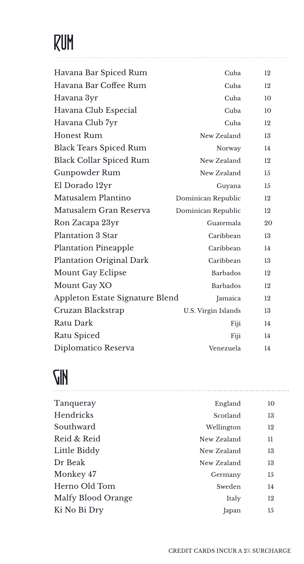# RUM

| Havana Bar Spiced Rum           | Cuba                | 12 |
|---------------------------------|---------------------|----|
| Havana Bar Coffee Rum           | Cuba                | 12 |
| Havana 3yr                      | Cuba                | 10 |
| Havana Club Especial            | Cuba                | 10 |
| Havana Club 7yr                 | Cuba                | 12 |
| <b>Honest Rum</b>               | New Zealand         | 13 |
| <b>Black Tears Spiced Rum</b>   | Norway              | 14 |
| <b>Black Collar Spiced Rum</b>  | New Zealand         | 12 |
| Gunpowder Rum                   | New Zealand         | 15 |
| El Dorado 12yr                  | Guyana              | 15 |
| Matusalem Plantino              | Dominican Republic  | 12 |
| Matusalem Gran Reserva          | Dominican Republic  | 12 |
| Ron Zacapa 23yr                 | Guatemala           | 20 |
| <b>Plantation 3 Star</b>        | Caribbean           | 13 |
| <b>Plantation Pineapple</b>     | Caribbean           | 14 |
| <b>Plantation Original Dark</b> | Caribbean           | 13 |
| <b>Mount Gay Eclipse</b>        | <b>Barbados</b>     | 12 |
| Mount Gay XO                    | <b>Barbados</b>     | 12 |
| Appleton Estate Signature Blend | Jamaica             | 12 |
| Cruzan Blackstrap               | U.S. Virgin Islands | 13 |
| Ratu Dark                       | Fiji                | 14 |
| Ratu Spiced                     | Fiji                | 14 |
| Diplomatico Reserva             | Venezuela           | 14 |
|                                 |                     |    |

#### **GIN**

| Tanqueray          | England     | 10 |
|--------------------|-------------|----|
| Hendricks          | Scotland    | 13 |
| Southward          | Wellington  | 12 |
| Reid & Reid        | New Zealand | 11 |
| Little Biddy       | New Zealand | 13 |
| Dr Beak            | New Zealand | 13 |
| Monkey 47          | Germany     | 15 |
| Herno Old Tom      | Sweden      | 14 |
| Malfy Blood Orange | Italy       | 12 |
| Ki No Bi Dry       | Japan       | 15 |
|                    |             |    |

....................................................................... .................................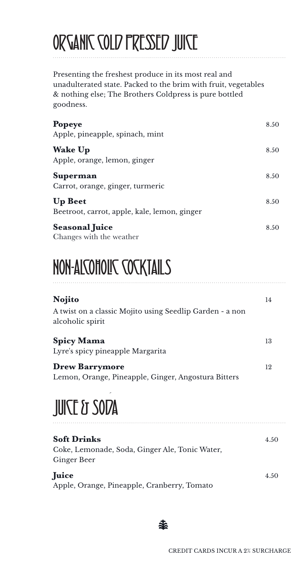# ORGANIC COLD PRESSED JUICE

Presenting the freshest produce in its most real and unadulterated state. Packed to the brim with fruit, vegetables & nothing else; The Brothers Coldpress is pure bottled goodness.

| <b>Popeye</b><br>Apple, pineapple, spinach, mint               | 8.50 |
|----------------------------------------------------------------|------|
| <b>Wake Up</b><br>Apple, orange, lemon, ginger                 | 8.50 |
| Superman<br>Carrot, orange, ginger, turmeric                   | 8.50 |
| <b>Up Beet</b><br>Beetroot, carrot, apple, kale, lemon, ginger | 8.50 |
| <b>Seasonal Juice</b><br>Changes with the weather              | 8.50 |

## NON-ALCOHOLIC COCKTAILS

| Nojito                                                                       | 14 |
|------------------------------------------------------------------------------|----|
| A twist on a classic Mojito using Seedlip Garden - a non<br>alcoholic spirit |    |
| <b>Spicy Mama</b><br>Lyre's spicy pineapple Margarita                        | 13 |
| <b>Drew Barrymore</b><br>Lemon, Orange, Pineapple, Ginger, Angostura Bitters | 12 |

## **JUICE & SODA**

| <b>Soft Drinks</b>                                                   | 4.50 |
|----------------------------------------------------------------------|------|
| Coke, Lemonade, Soda, Ginger Ale, Tonic Water,<br><b>Ginger Beer</b> |      |
| <b>Juice</b><br>Apple, Orange, Pineapple, Cranberry, Tomato          | 4.50 |
|                                                                      |      |